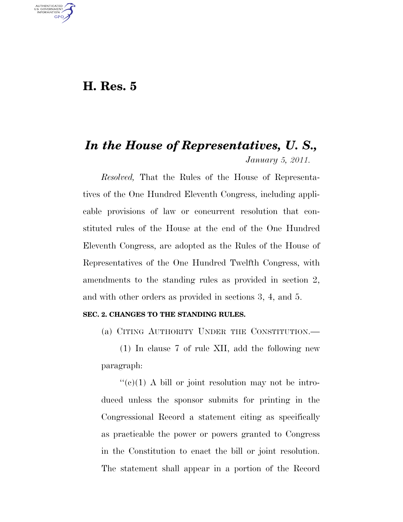# **H. Res. 5**

U.S. GOVERNMENT **GPO** 

# *In the House of Representatives, U. S., January 5, 2011.*

*Resolved,* That the Rules of the House of Representatives of the One Hundred Eleventh Congress, including applicable provisions of law or concurrent resolution that constituted rules of the House at the end of the One Hundred Eleventh Congress, are adopted as the Rules of the House of Representatives of the One Hundred Twelfth Congress, with amendments to the standing rules as provided in section 2, and with other orders as provided in sections 3, 4, and 5.

# **SEC. 2. CHANGES TO THE STANDING RULES.**

(a) CITING AUTHORITY UNDER THE CONSTITUTION.—

(1) In clause 7 of rule XII, add the following new paragraph:

 $\lq\lq$ (c)(1) A bill or joint resolution may not be introduced unless the sponsor submits for printing in the Congressional Record a statement citing as specifically as practicable the power or powers granted to Congress in the Constitution to enact the bill or joint resolution. The statement shall appear in a portion of the Record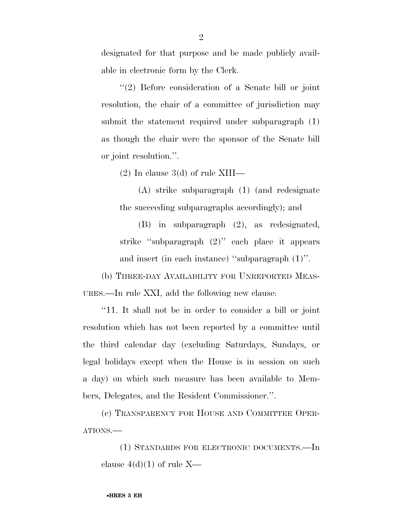designated for that purpose and be made publicly available in electronic form by the Clerk.

''(2) Before consideration of a Senate bill or joint resolution, the chair of a committee of jurisdiction may submit the statement required under subparagraph (1) as though the chair were the sponsor of the Senate bill or joint resolution.''.

(2) In clause 3(d) of rule XIII—

(A) strike subparagraph (1) (and redesignate the succeeding subparagraphs accordingly); and

(B) in subparagraph (2), as redesignated, strike ''subparagraph (2)'' each place it appears and insert (in each instance) ''subparagraph (1)''.

(b) THREE-DAY AVAILABILITY FOR UNREPORTED MEAS-URES.—In rule XXI, add the following new clause:

''11. It shall not be in order to consider a bill or joint resolution which has not been reported by a committee until the third calendar day (excluding Saturdays, Sundays, or legal holidays except when the House is in session on such a day) on which such measure has been available to Members, Delegates, and the Resident Commissioner.''.

(c) TRANSPARENCY FOR HOUSE AND COMMITTEE OPER-ATIONS.—

(1) STANDARDS FOR ELECTRONIC DOCUMENTS.—In clause  $4(d)(1)$  of rule X—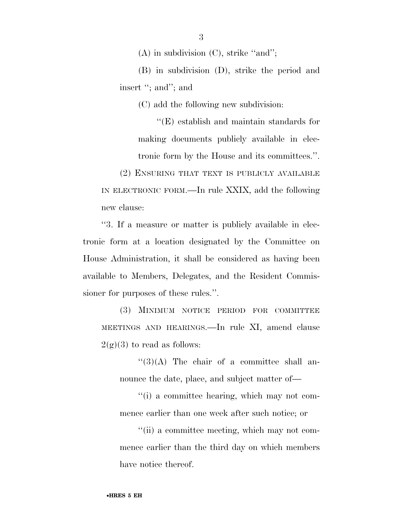(A) in subdivision (C), strike ''and'';

(B) in subdivision (D), strike the period and insert "; and"; and

(C) add the following new subdivision:

''(E) establish and maintain standards for making documents publicly available in electronic form by the House and its committees.''.

(2) ENSURING THAT TEXT IS PUBLICLY AVAILABLE IN ELECTRONIC FORM.—In rule XXIX, add the following new clause:

''3. If a measure or matter is publicly available in electronic form at a location designated by the Committee on House Administration, it shall be considered as having been available to Members, Delegates, and the Resident Commissioner for purposes of these rules.''.

(3) MINIMUM NOTICE PERIOD FOR COMMITTEE MEETINGS AND HEARINGS.—In rule XI, amend clause  $2(g)(3)$  to read as follows:

 $\lq(3)(A)$  The chair of a committee shall announce the date, place, and subject matter of—

''(i) a committee hearing, which may not commence earlier than one week after such notice; or

''(ii) a committee meeting, which may not commence earlier than the third day on which members have notice thereof.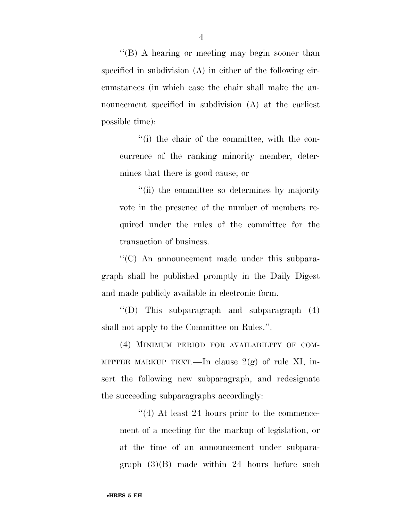''(B) A hearing or meeting may begin sooner than specified in subdivision (A) in either of the following circumstances (in which case the chair shall make the announcement specified in subdivision (A) at the earliest possible time):

''(i) the chair of the committee, with the concurrence of the ranking minority member, determines that there is good cause; or

''(ii) the committee so determines by majority vote in the presence of the number of members required under the rules of the committee for the transaction of business.

''(C) An announcement made under this subparagraph shall be published promptly in the Daily Digest and made publicly available in electronic form.

''(D) This subparagraph and subparagraph (4) shall not apply to the Committee on Rules.''.

(4) MINIMUM PERIOD FOR AVAILABILITY OF COM-MITTEE MARKUP TEXT.—In clause  $2(g)$  of rule XI, insert the following new subparagraph, and redesignate the succeeding subparagraphs accordingly:

''(4) At least 24 hours prior to the commencement of a meeting for the markup of legislation, or at the time of an announcement under subparagraph  $(3)(B)$  made within 24 hours before such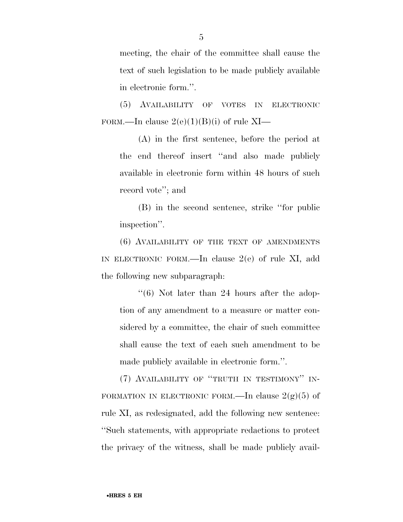meeting, the chair of the committee shall cause the text of such legislation to be made publicly available in electronic form.''.

(5) AVAILABILITY OF VOTES IN ELECTRONIC FORM.—In clause  $2(e)(1)(B)(i)$  of rule XI—

(A) in the first sentence, before the period at the end thereof insert ''and also made publicly available in electronic form within 48 hours of such record vote''; and

(B) in the second sentence, strike ''for public inspection''.

(6) AVAILABILITY OF THE TEXT OF AMENDMENTS IN ELECTRONIC FORM.—In clause 2(e) of rule XI, add the following new subparagraph:

 $\degree$ (6) Not later than 24 hours after the adoption of any amendment to a measure or matter considered by a committee, the chair of such committee shall cause the text of each such amendment to be made publicly available in electronic form.''.

(7) AVAILABILITY OF ''TRUTH IN TESTIMONY'' IN-FORMATION IN ELECTRONIC FORM.—In clause  $2(g)(5)$  of rule XI, as redesignated, add the following new sentence: ''Such statements, with appropriate redactions to protect the privacy of the witness, shall be made publicly avail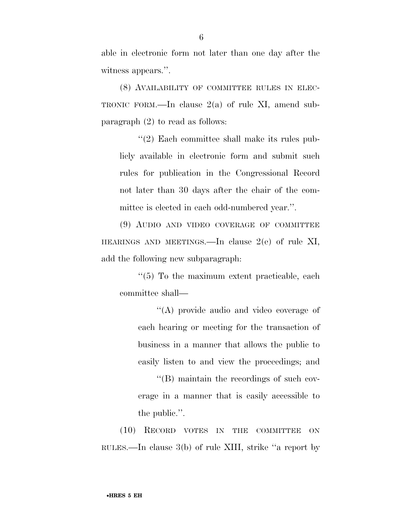able in electronic form not later than one day after the witness appears.''.

(8) AVAILABILITY OF COMMITTEE RULES IN ELEC-TRONIC FORM.—In clause 2(a) of rule XI, amend subparagraph (2) to read as follows:

''(2) Each committee shall make its rules publicly available in electronic form and submit such rules for publication in the Congressional Record not later than 30 days after the chair of the committee is elected in each odd-numbered year.''.

(9) AUDIO AND VIDEO COVERAGE OF COMMITTEE HEARINGS AND MEETINGS.—In clause 2(e) of rule XI, add the following new subparagraph:

 $\cdot$ (5) To the maximum extent practicable, each committee shall—

''(A) provide audio and video coverage of each hearing or meeting for the transaction of business in a manner that allows the public to easily listen to and view the proceedings; and

''(B) maintain the recordings of such coverage in a manner that is easily accessible to the public.''.

(10) RECORD VOTES IN THE COMMITTEE ON RULES.—In clause 3(b) of rule XIII, strike ''a report by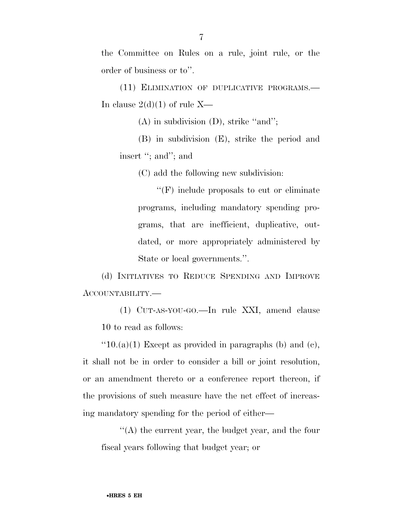the Committee on Rules on a rule, joint rule, or the order of business or to''.

(11) ELIMINATION OF DUPLICATIVE PROGRAMS.— In clause  $2(d)(1)$  of rule X—

(A) in subdivision (D), strike ''and'';

(B) in subdivision (E), strike the period and insert ''; and''; and

(C) add the following new subdivision:

''(F) include proposals to cut or eliminate programs, including mandatory spending programs, that are inefficient, duplicative, outdated, or more appropriately administered by State or local governments.''.

(d) INITIATIVES TO REDUCE SPENDING AND IMPROVE ACCOUNTABILITY.—

(1) CUT-AS-YOU-GO.—In rule XXI, amend clause 10 to read as follows:

 $"10.(a)(1)$  Except as provided in paragraphs (b) and (c), it shall not be in order to consider a bill or joint resolution, or an amendment thereto or a conference report thereon, if the provisions of such measure have the net effect of increasing mandatory spending for the period of either—

''(A) the current year, the budget year, and the four fiscal years following that budget year; or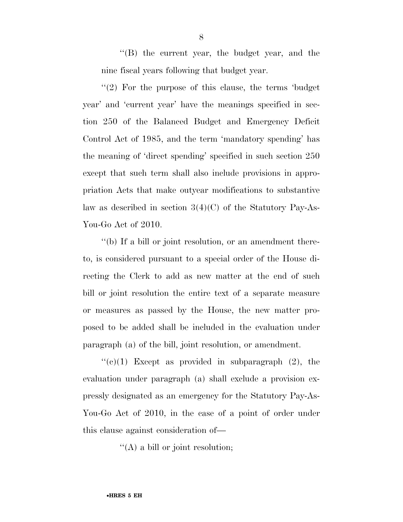''(B) the current year, the budget year, and the nine fiscal years following that budget year.

 $(2)$  For the purpose of this clause, the terms 'budget' year' and 'current year' have the meanings specified in section 250 of the Balanced Budget and Emergency Deficit Control Act of 1985, and the term 'mandatory spending' has the meaning of 'direct spending' specified in such section 250 except that such term shall also include provisions in appropriation Acts that make outyear modifications to substantive law as described in section  $3(4)(C)$  of the Statutory Pay-As-You-Go Act of 2010.

''(b) If a bill or joint resolution, or an amendment thereto, is considered pursuant to a special order of the House directing the Clerk to add as new matter at the end of such bill or joint resolution the entire text of a separate measure or measures as passed by the House, the new matter proposed to be added shall be included in the evaluation under paragraph (a) of the bill, joint resolution, or amendment.

 $f'(c)(1)$  Except as provided in subparagraph  $(2)$ , the evaluation under paragraph (a) shall exclude a provision expressly designated as an emergency for the Statutory Pay-As-You-Go Act of 2010, in the case of a point of order under this clause against consideration of—

''(A) a bill or joint resolution;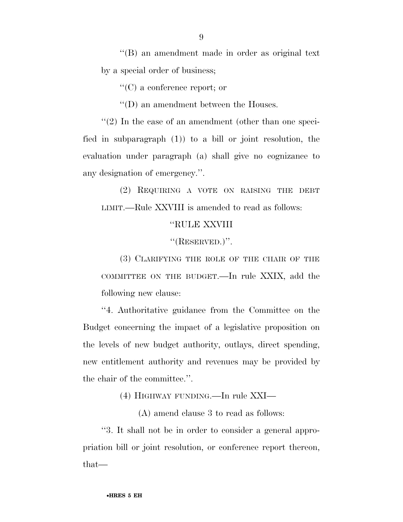''(B) an amendment made in order as original text by a special order of business;

''(C) a conference report; or

''(D) an amendment between the Houses.

''(2) In the case of an amendment (other than one specified in subparagraph (1)) to a bill or joint resolution, the evaluation under paragraph (a) shall give no cognizance to any designation of emergency.''.

(2) REQUIRING A VOTE ON RAISING THE DEBT LIMIT.—Rule XXVIII is amended to read as follows:

## ''RULE XXVIII

''(RESERVED.)''.

(3) CLARIFYING THE ROLE OF THE CHAIR OF THE COMMITTEE ON THE BUDGET.—In rule XXIX, add the following new clause:

''4. Authoritative guidance from the Committee on the Budget concerning the impact of a legislative proposition on the levels of new budget authority, outlays, direct spending, new entitlement authority and revenues may be provided by the chair of the committee.''.

(4) HIGHWAY FUNDING.—In rule XXI—

(A) amend clause 3 to read as follows:

''3. It shall not be in order to consider a general appropriation bill or joint resolution, or conference report thereon, that—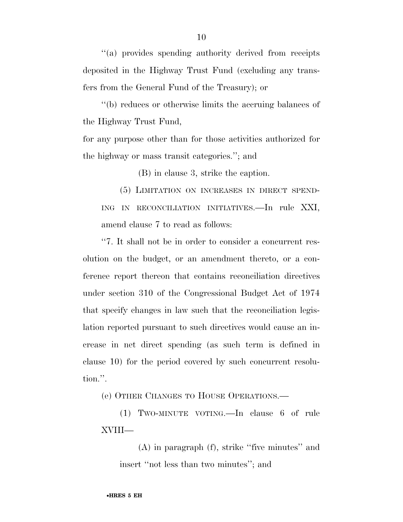''(a) provides spending authority derived from receipts deposited in the Highway Trust Fund (excluding any transfers from the General Fund of the Treasury); or

''(b) reduces or otherwise limits the accruing balances of the Highway Trust Fund,

for any purpose other than for those activities authorized for the highway or mass transit categories.''; and

(B) in clause 3, strike the caption.

(5) LIMITATION ON INCREASES IN DIRECT SPEND-ING IN RECONCILIATION INITIATIVES.—In rule XXI, amend clause 7 to read as follows:

''7. It shall not be in order to consider a concurrent resolution on the budget, or an amendment thereto, or a conference report thereon that contains reconciliation directives under section 310 of the Congressional Budget Act of 1974 that specify changes in law such that the reconciliation legislation reported pursuant to such directives would cause an increase in net direct spending (as such term is defined in clause 10) for the period covered by such concurrent resolution.''.

(e) OTHER CHANGES TO HOUSE OPERATIONS.—

(1) TWO-MINUTE VOTING.—In clause 6 of rule XVIII—

(A) in paragraph (f), strike ''five minutes'' and insert ''not less than two minutes''; and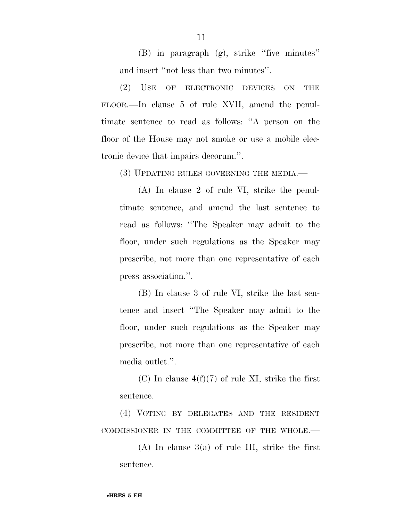(B) in paragraph (g), strike ''five minutes'' and insert ''not less than two minutes''.

(2) USE OF ELECTRONIC DEVICES ON THE FLOOR.—In clause 5 of rule XVII, amend the penultimate sentence to read as follows: ''A person on the floor of the House may not smoke or use a mobile electronic device that impairs decorum.''.

(3) UPDATING RULES GOVERNING THE MEDIA.—

(A) In clause 2 of rule VI, strike the penultimate sentence, and amend the last sentence to read as follows: ''The Speaker may admit to the floor, under such regulations as the Speaker may prescribe, not more than one representative of each press association.''.

(B) In clause 3 of rule VI, strike the last sentence and insert ''The Speaker may admit to the floor, under such regulations as the Speaker may prescribe, not more than one representative of each media outlet.''.

(C) In clause  $4(f)(7)$  of rule XI, strike the first sentence.

(4) VOTING BY DELEGATES AND THE RESIDENT COMMISSIONER IN THE COMMITTEE OF THE WHOLE.—

(A) In clause 3(a) of rule III, strike the first sentence.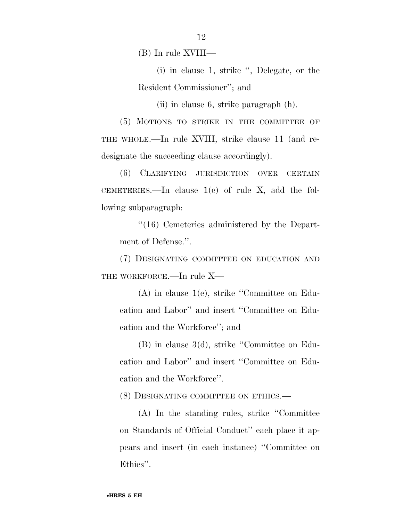(B) In rule XVIII—

(i) in clause 1, strike '', Delegate, or the Resident Commissioner''; and

(ii) in clause 6, strike paragraph (h).

(5) MOTIONS TO STRIKE IN THE COMMITTEE OF THE WHOLE.—In rule XVIII, strike clause 11 (and redesignate the succeeding clause accordingly).

(6) CLARIFYING JURISDICTION OVER CERTAIN CEMETERIES.—In clause  $1(c)$  of rule X, add the following subparagraph:

''(16) Cemeteries administered by the Department of Defense.''.

(7) DESIGNATING COMMITTEE ON EDUCATION AND THE WORKFORCE.—In rule X—

(A) in clause 1(e), strike ''Committee on Education and Labor'' and insert ''Committee on Education and the Workforce''; and

(B) in clause 3(d), strike ''Committee on Education and Labor'' and insert ''Committee on Education and the Workforce''.

(8) DESIGNATING COMMITTEE ON ETHICS.—

(A) In the standing rules, strike ''Committee on Standards of Official Conduct'' each place it appears and insert (in each instance) ''Committee on Ethics''.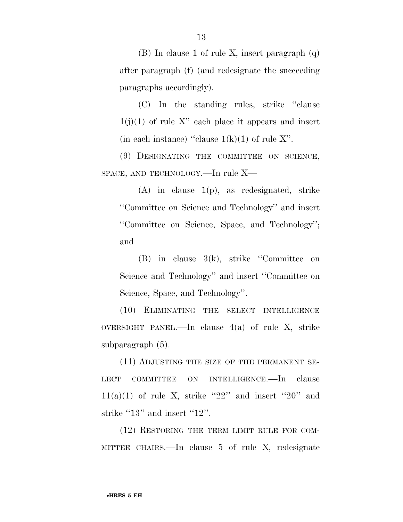(B) In clause 1 of rule X, insert paragraph (q) after paragraph (f) (and redesignate the succeeding paragraphs accordingly).

(C) In the standing rules, strike ''clause  $1(j)(1)$  of rule X" each place it appears and insert (in each instance) "clause  $1(k)(1)$  of rule X".

(9) DESIGNATING THE COMMITTEE ON SCIENCE, SPACE, AND TECHNOLOGY.—In rule X—

(A) in clause 1(p), as redesignated, strike ''Committee on Science and Technology'' and insert ''Committee on Science, Space, and Technology''; and

(B) in clause 3(k), strike ''Committee on Science and Technology'' and insert ''Committee on Science, Space, and Technology''.

(10) ELIMINATING THE SELECT INTELLIGENCE OVERSIGHT PANEL.—In clause  $4(a)$  of rule X, strike subparagraph (5).

(11) ADJUSTING THE SIZE OF THE PERMANENT SE-LECT COMMITTEE ON INTELLIGENCE.—In clause  $11(a)(1)$  of rule X, strike "22" and insert "20" and strike "13" and insert "12".

(12) RESTORING THE TERM LIMIT RULE FOR COM-MITTEE CHAIRS.—In clause 5 of rule X, redesignate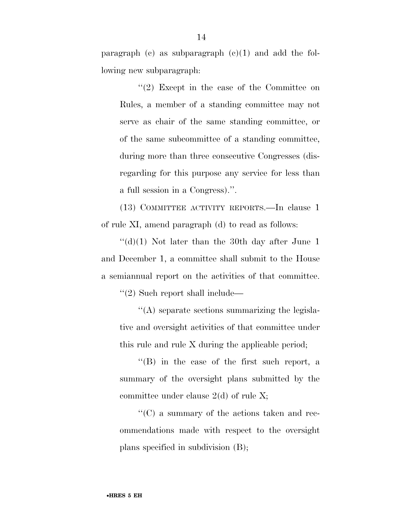paragraph (c) as subparagraph  $(c)(1)$  and add the following new subparagraph:

''(2) Except in the case of the Committee on Rules, a member of a standing committee may not serve as chair of the same standing committee, or of the same subcommittee of a standing committee, during more than three consecutive Congresses (disregarding for this purpose any service for less than a full session in a Congress).''.

(13) COMMITTEE ACTIVITY REPORTS.—In clause 1 of rule XI, amend paragraph (d) to read as follows:

 $\lq\lq$ (d)(1) Not later than the 30th day after June 1 and December 1, a committee shall submit to the House a semiannual report on the activities of that committee.

''(2) Such report shall include—

''(A) separate sections summarizing the legislative and oversight activities of that committee under this rule and rule X during the applicable period;

''(B) in the case of the first such report, a summary of the oversight plans submitted by the committee under clause 2(d) of rule X;

''(C) a summary of the actions taken and recommendations made with respect to the oversight plans specified in subdivision (B);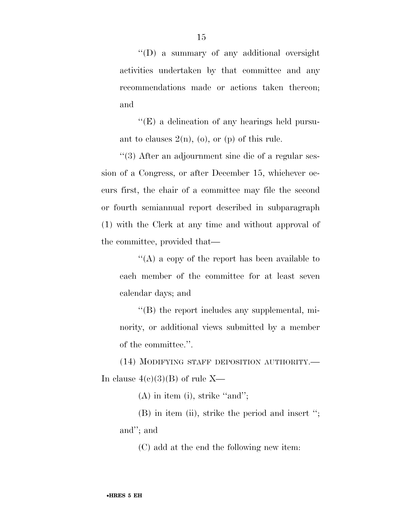''(D) a summary of any additional oversight activities undertaken by that committee and any recommendations made or actions taken thereon; and

''(E) a delineation of any hearings held pursuant to clauses  $2(n)$ , (o), or (p) of this rule.

''(3) After an adjournment sine die of a regular session of a Congress, or after December 15, whichever occurs first, the chair of a committee may file the second or fourth semiannual report described in subparagraph (1) with the Clerk at any time and without approval of the committee, provided that—

''(A) a copy of the report has been available to each member of the committee for at least seven calendar days; and

''(B) the report includes any supplemental, minority, or additional views submitted by a member of the committee.''.

(14) MODIFYING STAFF DEPOSITION AUTHORITY.— In clause  $4(c)(3)(B)$  of rule X—

(A) in item (i), strike ''and'';

(B) in item (ii), strike the period and insert ''; and''; and

(C) add at the end the following new item: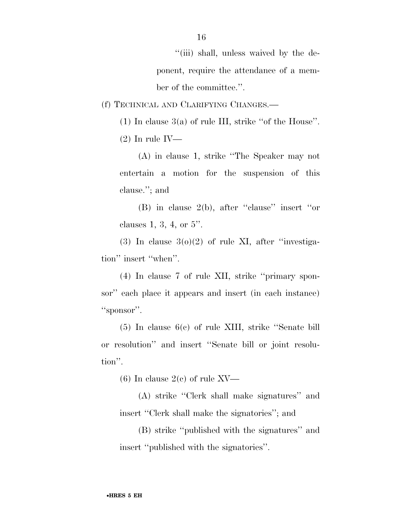''(iii) shall, unless waived by the deponent, require the attendance of a member of the committee.''.

(f) TECHNICAL AND CLARIFYING CHANGES.—

(1) In clause  $3(a)$  of rule III, strike "of the House".

 $(2)$  In rule IV—

(A) in clause 1, strike ''The Speaker may not entertain a motion for the suspension of this clause.''; and

(B) in clause 2(b), after ''clause'' insert ''or clauses 1, 3, 4, or 5''.

 $(3)$  In clause  $3(0)(2)$  of rule XI, after "investigation'' insert ''when''.

(4) In clause 7 of rule XII, strike ''primary sponsor'' each place it appears and insert (in each instance) "sponsor".

(5) In clause 6(c) of rule XIII, strike ''Senate bill or resolution'' and insert ''Senate bill or joint resolution''.

(6) In clause  $2(e)$  of rule XV—

(A) strike ''Clerk shall make signatures'' and insert ''Clerk shall make the signatories''; and

(B) strike ''published with the signatures'' and insert ''published with the signatories''.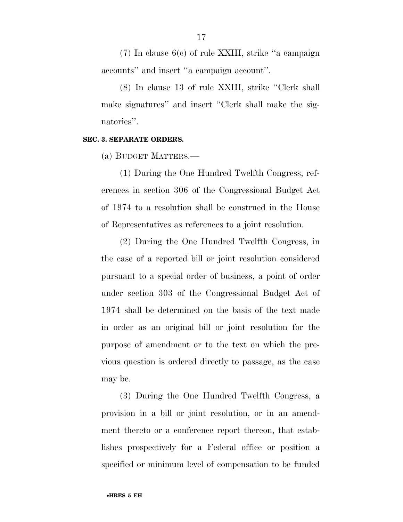(7) In clause 6(c) of rule XXIII, strike ''a campaign accounts'' and insert ''a campaign account''.

(8) In clause 13 of rule XXIII, strike ''Clerk shall make signatures'' and insert ''Clerk shall make the signatories".

#### **SEC. 3. SEPARATE ORDERS.**

(a) BUDGET MATTERS.—

(1) During the One Hundred Twelfth Congress, references in section 306 of the Congressional Budget Act of 1974 to a resolution shall be construed in the House of Representatives as references to a joint resolution.

(2) During the One Hundred Twelfth Congress, in the case of a reported bill or joint resolution considered pursuant to a special order of business, a point of order under section 303 of the Congressional Budget Act of 1974 shall be determined on the basis of the text made in order as an original bill or joint resolution for the purpose of amendment or to the text on which the previous question is ordered directly to passage, as the case may be.

(3) During the One Hundred Twelfth Congress, a provision in a bill or joint resolution, or in an amendment thereto or a conference report thereon, that establishes prospectively for a Federal office or position a specified or minimum level of compensation to be funded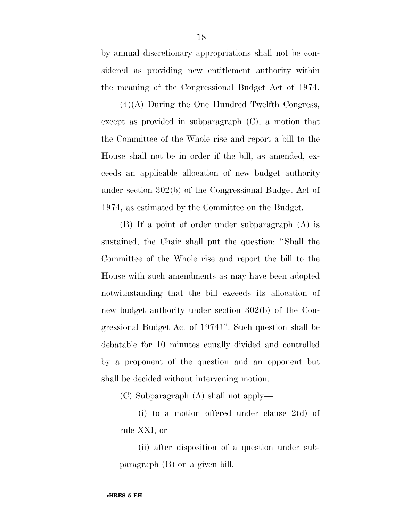by annual discretionary appropriations shall not be considered as providing new entitlement authority within the meaning of the Congressional Budget Act of 1974.

(4)(A) During the One Hundred Twelfth Congress, except as provided in subparagraph (C), a motion that the Committee of the Whole rise and report a bill to the House shall not be in order if the bill, as amended, exceeds an applicable allocation of new budget authority under section 302(b) of the Congressional Budget Act of 1974, as estimated by the Committee on the Budget.

(B) If a point of order under subparagraph (A) is sustained, the Chair shall put the question: ''Shall the Committee of the Whole rise and report the bill to the House with such amendments as may have been adopted notwithstanding that the bill exceeds its allocation of new budget authority under section 302(b) of the Congressional Budget Act of 1974?''. Such question shall be debatable for 10 minutes equally divided and controlled by a proponent of the question and an opponent but shall be decided without intervening motion.

(C) Subparagraph (A) shall not apply—

(i) to a motion offered under clause 2(d) of rule XXI; or

(ii) after disposition of a question under subparagraph (B) on a given bill.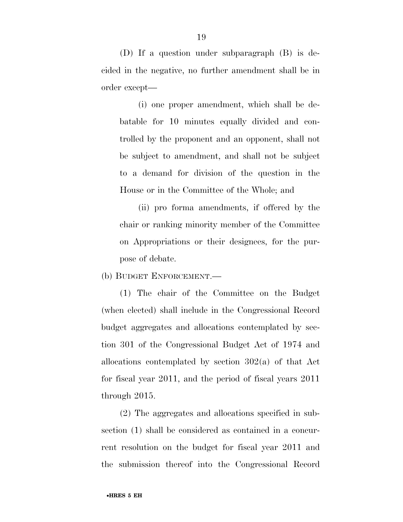(D) If a question under subparagraph (B) is decided in the negative, no further amendment shall be in order except—

(i) one proper amendment, which shall be debatable for 10 minutes equally divided and controlled by the proponent and an opponent, shall not be subject to amendment, and shall not be subject to a demand for division of the question in the House or in the Committee of the Whole; and

(ii) pro forma amendments, if offered by the chair or ranking minority member of the Committee on Appropriations or their designees, for the purpose of debate.

(b) BUDGET ENFORCEMENT.—

(1) The chair of the Committee on the Budget (when elected) shall include in the Congressional Record budget aggregates and allocations contemplated by section 301 of the Congressional Budget Act of 1974 and allocations contemplated by section 302(a) of that Act for fiscal year 2011, and the period of fiscal years 2011 through 2015.

(2) The aggregates and allocations specified in subsection (1) shall be considered as contained in a concurrent resolution on the budget for fiscal year 2011 and the submission thereof into the Congressional Record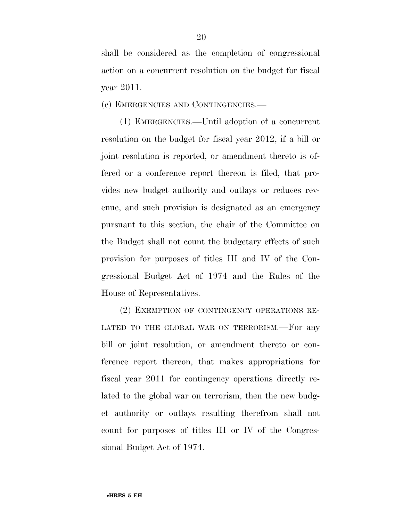shall be considered as the completion of congressional action on a concurrent resolution on the budget for fiscal year 2011.

(c) EMERGENCIES AND CONTINGENCIES.—

(1) EMERGENCIES.—Until adoption of a concurrent resolution on the budget for fiscal year 2012, if a bill or joint resolution is reported, or amendment thereto is offered or a conference report thereon is filed, that provides new budget authority and outlays or reduces revenue, and such provision is designated as an emergency pursuant to this section, the chair of the Committee on the Budget shall not count the budgetary effects of such provision for purposes of titles III and IV of the Congressional Budget Act of 1974 and the Rules of the House of Representatives.

(2) EXEMPTION OF CONTINGENCY OPERATIONS RE-LATED TO THE GLOBAL WAR ON TERRORISM.—For any bill or joint resolution, or amendment thereto or conference report thereon, that makes appropriations for fiscal year 2011 for contingency operations directly related to the global war on terrorism, then the new budget authority or outlays resulting therefrom shall not count for purposes of titles III or IV of the Congressional Budget Act of 1974.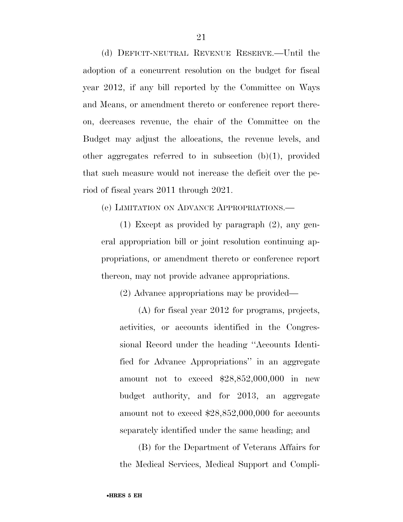(d) DEFICIT-NEUTRAL REVENUE RESERVE.—Until the adoption of a concurrent resolution on the budget for fiscal year 2012, if any bill reported by the Committee on Ways and Means, or amendment thereto or conference report thereon, decreases revenue, the chair of the Committee on the Budget may adjust the allocations, the revenue levels, and other aggregates referred to in subsection (b)(1), provided that such measure would not increase the deficit over the period of fiscal years 2011 through 2021.

(e) LIMITATION ON ADVANCE APPROPRIATIONS.—

(1) Except as provided by paragraph (2), any general appropriation bill or joint resolution continuing appropriations, or amendment thereto or conference report thereon, may not provide advance appropriations.

(2) Advance appropriations may be provided—

(A) for fiscal year 2012 for programs, projects, activities, or accounts identified in the Congressional Record under the heading ''Accounts Identified for Advance Appropriations'' in an aggregate amount not to exceed \$28,852,000,000 in new budget authority, and for 2013, an aggregate amount not to exceed \$28,852,000,000 for accounts separately identified under the same heading; and

(B) for the Department of Veterans Affairs for the Medical Services, Medical Support and Compli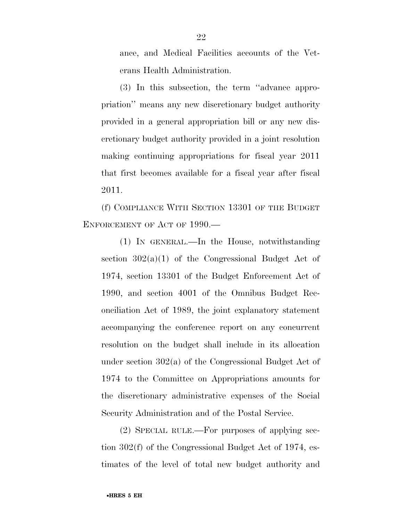ance, and Medical Facilities accounts of the Veterans Health Administration.

(3) In this subsection, the term ''advance appropriation'' means any new discretionary budget authority provided in a general appropriation bill or any new discretionary budget authority provided in a joint resolution making continuing appropriations for fiscal year 2011 that first becomes available for a fiscal year after fiscal 2011.

(f) COMPLIANCE WITH SECTION 13301 OF THE BUDGET ENFORCEMENT OF ACT OF 1990.—

(1) IN GENERAL.—In the House, notwithstanding section  $302(a)(1)$  of the Congressional Budget Act of 1974, section 13301 of the Budget Enforcement Act of 1990, and section 4001 of the Omnibus Budget Reconciliation Act of 1989, the joint explanatory statement accompanying the conference report on any concurrent resolution on the budget shall include in its allocation under section 302(a) of the Congressional Budget Act of 1974 to the Committee on Appropriations amounts for the discretionary administrative expenses of the Social Security Administration and of the Postal Service.

(2) SPECIAL RULE.—For purposes of applying section 302(f) of the Congressional Budget Act of 1974, estimates of the level of total new budget authority and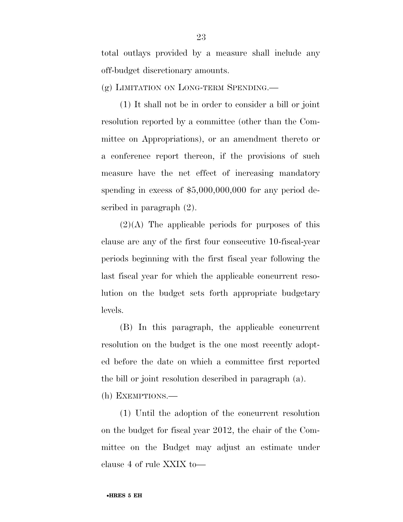total outlays provided by a measure shall include any off-budget discretionary amounts.

(g) LIMITATION ON LONG-TERM SPENDING.—

(1) It shall not be in order to consider a bill or joint resolution reported by a committee (other than the Committee on Appropriations), or an amendment thereto or a conference report thereon, if the provisions of such measure have the net effect of increasing mandatory spending in excess of \$5,000,000,000 for any period described in paragraph (2).

 $(2)(A)$  The applicable periods for purposes of this clause are any of the first four consecutive 10-fiscal-year periods beginning with the first fiscal year following the last fiscal year for which the applicable concurrent resolution on the budget sets forth appropriate budgetary levels.

(B) In this paragraph, the applicable concurrent resolution on the budget is the one most recently adopted before the date on which a committee first reported the bill or joint resolution described in paragraph (a).

(h) EXEMPTIONS.—

(1) Until the adoption of the concurrent resolution on the budget for fiscal year 2012, the chair of the Committee on the Budget may adjust an estimate under clause 4 of rule XXIX to—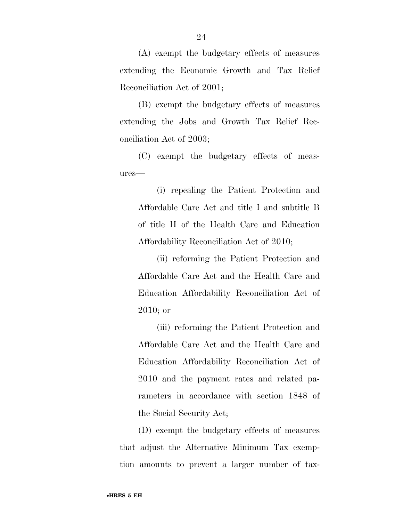(A) exempt the budgetary effects of measures extending the Economic Growth and Tax Relief Reconciliation Act of 2001;

(B) exempt the budgetary effects of measures extending the Jobs and Growth Tax Relief Reconciliation Act of 2003;

(C) exempt the budgetary effects of measures—

(i) repealing the Patient Protection and Affordable Care Act and title I and subtitle B of title II of the Health Care and Education Affordability Reconciliation Act of 2010;

(ii) reforming the Patient Protection and Affordable Care Act and the Health Care and Education Affordability Reconciliation Act of 2010; or

(iii) reforming the Patient Protection and Affordable Care Act and the Health Care and Education Affordability Reconciliation Act of 2010 and the payment rates and related parameters in accordance with section 1848 of the Social Security Act;

(D) exempt the budgetary effects of measures that adjust the Alternative Minimum Tax exemption amounts to prevent a larger number of tax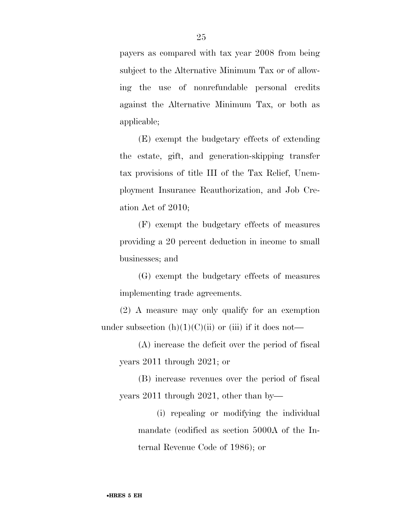payers as compared with tax year 2008 from being subject to the Alternative Minimum Tax or of allowing the use of nonrefundable personal credits against the Alternative Minimum Tax, or both as applicable;

(E) exempt the budgetary effects of extending the estate, gift, and generation-skipping transfer tax provisions of title III of the Tax Relief, Unemployment Insurance Reauthorization, and Job Creation Act of 2010;

(F) exempt the budgetary effects of measures providing a 20 percent deduction in income to small businesses; and

(G) exempt the budgetary effects of measures implementing trade agreements.

(2) A measure may only qualify for an exemption under subsection  $(h)(1)(C)(ii)$  or (iii) if it does not—

(A) increase the deficit over the period of fiscal years 2011 through 2021; or

(B) increase revenues over the period of fiscal years 2011 through 2021, other than by—

(i) repealing or modifying the individual mandate (codified as section 5000A of the Internal Revenue Code of 1986); or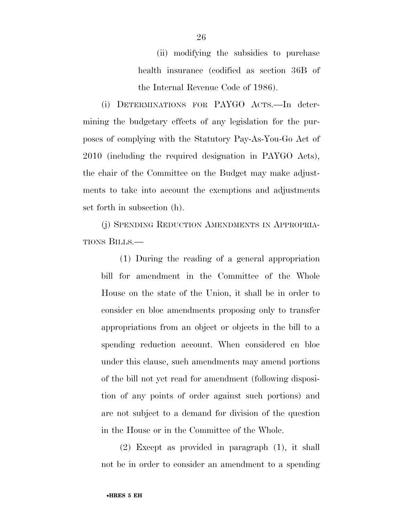(ii) modifying the subsidies to purchase health insurance (codified as section 36B of the Internal Revenue Code of 1986).

(i) DETERMINATIONS FOR PAYGO ACTS.—In determining the budgetary effects of any legislation for the purposes of complying with the Statutory Pay-As-You-Go Act of 2010 (including the required designation in PAYGO Acts), the chair of the Committee on the Budget may make adjustments to take into account the exemptions and adjustments set forth in subsection (h).

(j) SPENDING REDUCTION AMENDMENTS IN APPROPRIA-TIONS BILLS.—

(1) During the reading of a general appropriation bill for amendment in the Committee of the Whole House on the state of the Union, it shall be in order to consider en bloc amendments proposing only to transfer appropriations from an object or objects in the bill to a spending reduction account. When considered en bloc under this clause, such amendments may amend portions of the bill not yet read for amendment (following disposition of any points of order against such portions) and are not subject to a demand for division of the question in the House or in the Committee of the Whole.

(2) Except as provided in paragraph (1), it shall not be in order to consider an amendment to a spending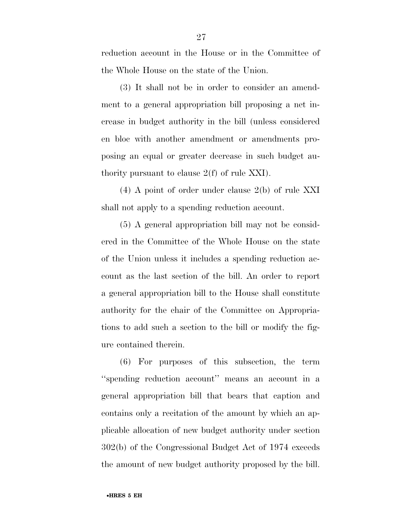reduction account in the House or in the Committee of the Whole House on the state of the Union.

(3) It shall not be in order to consider an amendment to a general appropriation bill proposing a net increase in budget authority in the bill (unless considered en bloc with another amendment or amendments proposing an equal or greater decrease in such budget authority pursuant to clause 2(f) of rule XXI).

(4) A point of order under clause 2(b) of rule XXI shall not apply to a spending reduction account.

(5) A general appropriation bill may not be considered in the Committee of the Whole House on the state of the Union unless it includes a spending reduction account as the last section of the bill. An order to report a general appropriation bill to the House shall constitute authority for the chair of the Committee on Appropriations to add such a section to the bill or modify the figure contained therein.

(6) For purposes of this subsection, the term ''spending reduction account'' means an account in a general appropriation bill that bears that caption and contains only a recitation of the amount by which an applicable allocation of new budget authority under section 302(b) of the Congressional Budget Act of 1974 exceeds the amount of new budget authority proposed by the bill.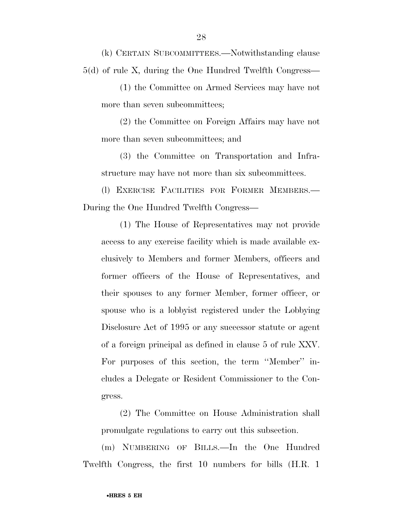(k) CERTAIN SUBCOMMITTEES.—Notwithstanding clause 5(d) of rule X, during the One Hundred Twelfth Congress—

(1) the Committee on Armed Services may have not more than seven subcommittees;

(2) the Committee on Foreign Affairs may have not more than seven subcommittees; and

(3) the Committee on Transportation and Infrastructure may have not more than six subcommittees.

(l) EXERCISE FACILITIES FOR FORMER MEMBERS.— During the One Hundred Twelfth Congress—

(1) The House of Representatives may not provide access to any exercise facility which is made available exclusively to Members and former Members, officers and former officers of the House of Representatives, and their spouses to any former Member, former officer, or spouse who is a lobbyist registered under the Lobbying Disclosure Act of 1995 or any successor statute or agent of a foreign principal as defined in clause 5 of rule XXV. For purposes of this section, the term ''Member'' includes a Delegate or Resident Commissioner to the Congress.

(2) The Committee on House Administration shall promulgate regulations to carry out this subsection.

(m) NUMBERING OF BILLS.—In the One Hundred Twelfth Congress, the first 10 numbers for bills (H.R. 1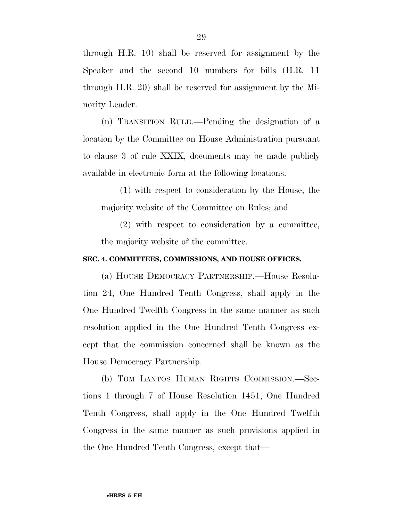through H.R. 10) shall be reserved for assignment by the Speaker and the second 10 numbers for bills (H.R. 11 through H.R. 20) shall be reserved for assignment by the Minority Leader.

(n) TRANSITION RULE.—Pending the designation of a location by the Committee on House Administration pursuant to clause 3 of rule XXIX, documents may be made publicly available in electronic form at the following locations:

(1) with respect to consideration by the House, the majority website of the Committee on Rules; and

(2) with respect to consideration by a committee, the majority website of the committee.

#### **SEC. 4. COMMITTEES, COMMISSIONS, AND HOUSE OFFICES.**

(a) HOUSE DEMOCRACY PARTNERSHIP.—House Resolution 24, One Hundred Tenth Congress, shall apply in the One Hundred Twelfth Congress in the same manner as such resolution applied in the One Hundred Tenth Congress except that the commission concerned shall be known as the House Democracy Partnership.

(b) TOM LANTOS HUMAN RIGHTS COMMISSION.—Sections 1 through 7 of House Resolution 1451, One Hundred Tenth Congress, shall apply in the One Hundred Twelfth Congress in the same manner as such provisions applied in the One Hundred Tenth Congress, except that—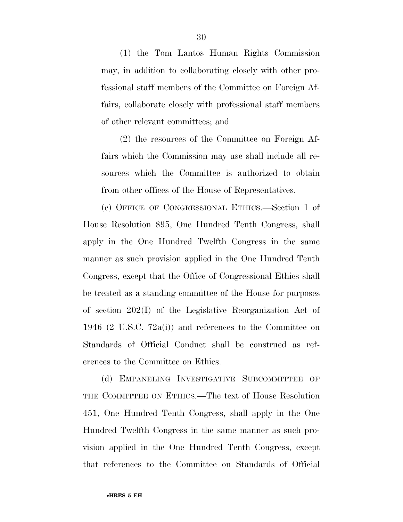(1) the Tom Lantos Human Rights Commission may, in addition to collaborating closely with other professional staff members of the Committee on Foreign Affairs, collaborate closely with professional staff members of other relevant committees; and

(2) the resources of the Committee on Foreign Affairs which the Commission may use shall include all resources which the Committee is authorized to obtain from other offices of the House of Representatives.

(c) OFFICE OF CONGRESSIONAL ETHICS.—Section 1 of House Resolution 895, One Hundred Tenth Congress, shall apply in the One Hundred Twelfth Congress in the same manner as such provision applied in the One Hundred Tenth Congress, except that the Office of Congressional Ethics shall be treated as a standing committee of the House for purposes of section 202(I) of the Legislative Reorganization Act of 1946 (2 U.S.C. 72a(i)) and references to the Committee on Standards of Official Conduct shall be construed as references to the Committee on Ethics.

(d) EMPANELING INVESTIGATIVE SUBCOMMITTEE OF THE COMMITTEE ON ETHICS.—The text of House Resolution 451, One Hundred Tenth Congress, shall apply in the One Hundred Twelfth Congress in the same manner as such provision applied in the One Hundred Tenth Congress, except that references to the Committee on Standards of Official